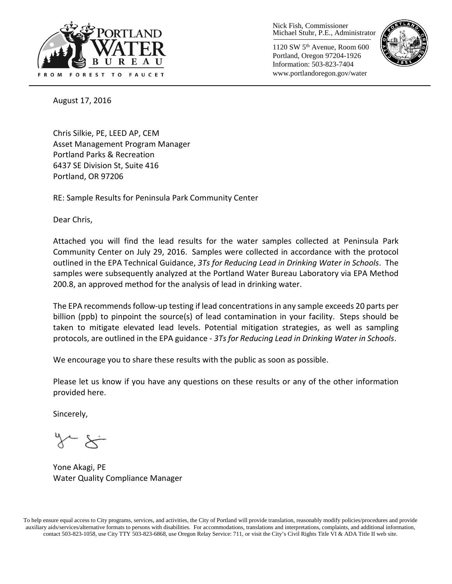

Nick Fish, Commissioner Michael Stuhr, P.E., Administrator

1120 SW 5th Avenue, Room 600 Portland, Oregon 97204-1926 Information: 503-823-7404 www.portlandoregon.gov/water



August 17, 2016

Chris Silkie, PE, LEED AP, CEM Asset Management Program Manager Portland Parks & Recreation 6437 SE Division St, Suite 416 Portland, OR 97206

RE: Sample Results for Peninsula Park Community Center

Dear Chris,

Attached you will find the lead results for the water samples collected at Peninsula Park Community Center on July 29, 2016. Samples were collected in accordance with the protocol outlined in the EPA Technical Guidance, *3Ts for Reducing Lead in Drinking Water in Schools*. The samples were subsequently analyzed at the Portland Water Bureau Laboratory via EPA Method 200.8, an approved method for the analysis of lead in drinking water.

The EPA recommends follow-up testing if lead concentrations in any sample exceeds 20 parts per billion (ppb) to pinpoint the source(s) of lead contamination in your facility. Steps should be taken to mitigate elevated lead levels. Potential mitigation strategies, as well as sampling protocols, are outlined in the EPA guidance - *3Ts for Reducing Lead in Drinking Water in Schools*.

We encourage you to share these results with the public as soon as possible.

Please let us know if you have any questions on these results or any of the other information provided here.

Sincerely,

Yone Akagi, PE Water Quality Compliance Manager

To help ensure equal access to City programs, services, and activities, the City of Portland will provide translation, reasonably modify policies/procedures and provide auxiliary aids/services/alternative formats to persons with disabilities. For accommodations, translations and interpretations, complaints, and additional information, contact 503-823-1058, use City TTY 503-823-6868, use Oregon Relay Service: 711, or visi[t the City's Civil Rights Title VI & ADA Title II web site.](http://www.portlandoregon.gov/oehr/66458)